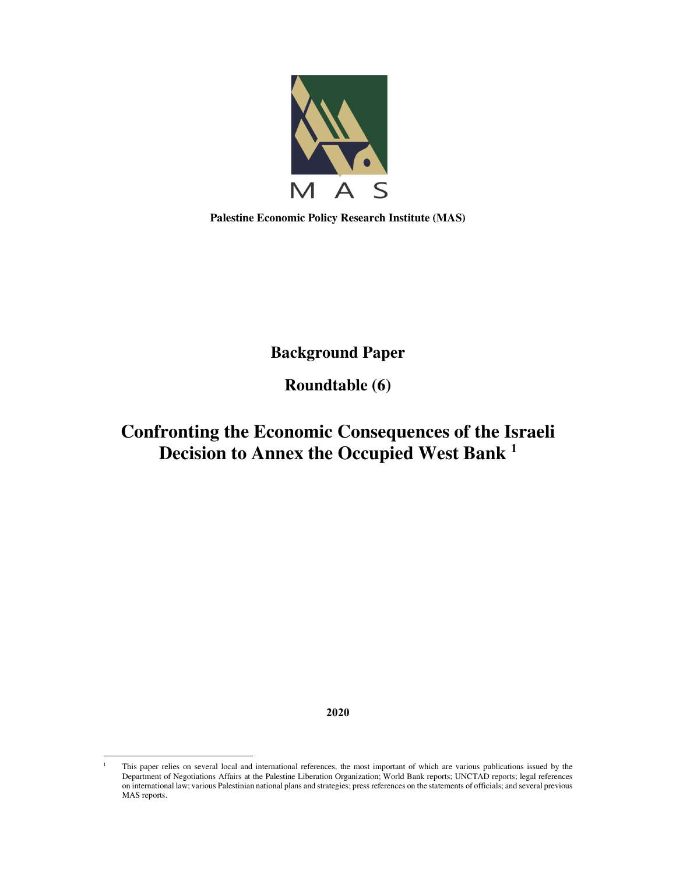

**Palestine Economic Policy Research Institute (MAS)** 

**Background Paper** 

**Roundtable (6)** 

# **Confronting the Economic Consequences of the Israeli Decision to Annex the Occupied West Bank <sup>1</sup>**

**2020**

<sup>1</sup> This paper relies on several local and international references, the most important of which are various publications issued by the Department of Negotiations Affairs at the Palestine Liberation Organization; World Bank reports; UNCTAD reports; legal references on international law; various Palestinian national plans and strategies; press references on the statements of officials; and several previous MAS reports.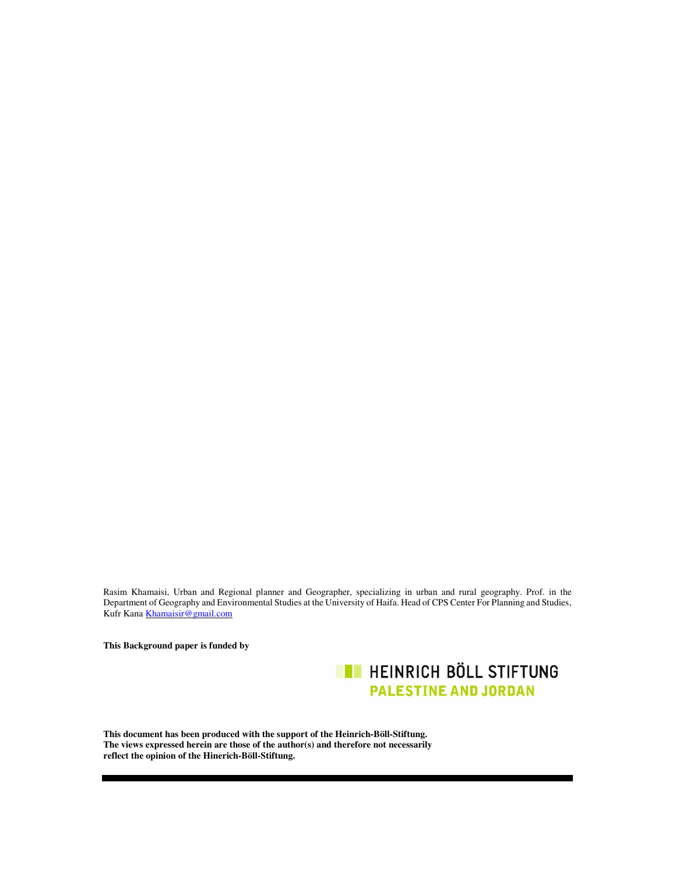Rasim Khamaisi, Urban and Regional planner and Geographer, specializing in urban and rural geography. Prof. in the Department of Geography and Environmental Studies at the University of Haifa. Head of CPS Center For Planning and Studies, Kufr Kana Khamaisir@gmail.com

**This Background paper is funded by** 

**EXECUTE HEINRICH BÖLL STIFTUNG PALESTINE AND JORDAN** 

**This document has been produced with the support of the Heinrich-Böll-Stiftung. The views expressed herein are those of the author(s) and therefore not necessarily reflect the opinion of the Hinerich-Böll-Stiftung.**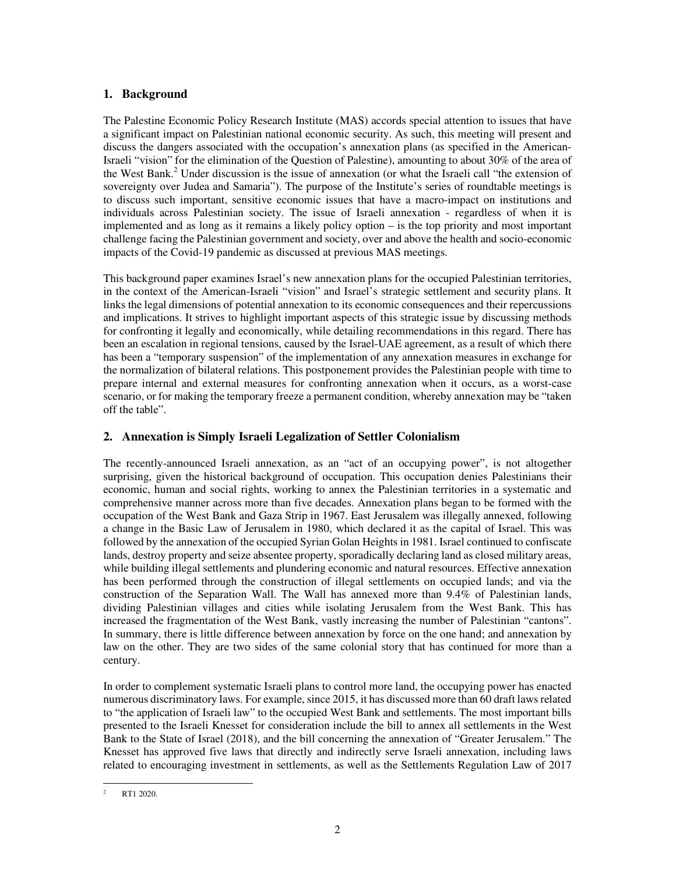# **1. Background**

The Palestine Economic Policy Research Institute (MAS) accords special attention to issues that have a significant impact on Palestinian national economic security. As such, this meeting will present and discuss the dangers associated with the occupation's annexation plans (as specified in the American-Israeli "vision" for the elimination of the Question of Palestine), amounting to about 30% of the area of the West Bank.<sup>2</sup> Under discussion is the issue of annexation (or what the Israeli call "the extension of sovereignty over Judea and Samaria"). The purpose of the Institute's series of roundtable meetings is to discuss such important, sensitive economic issues that have a macro-impact on institutions and individuals across Palestinian society. The issue of Israeli annexation - regardless of when it is implemented and as long as it remains a likely policy option – is the top priority and most important challenge facing the Palestinian government and society, over and above the health and socio-economic impacts of the Covid-19 pandemic as discussed at previous MAS meetings.

This background paper examines Israel's new annexation plans for the occupied Palestinian territories, in the context of the American-Israeli "vision" and Israel's strategic settlement and security plans. It links the legal dimensions of potential annexation to its economic consequences and their repercussions and implications. It strives to highlight important aspects of this strategic issue by discussing methods for confronting it legally and economically, while detailing recommendations in this regard. There has been an escalation in regional tensions, caused by the Israel-UAE agreement, as a result of which there has been a "temporary suspension" of the implementation of any annexation measures in exchange for the normalization of bilateral relations. This postponement provides the Palestinian people with time to prepare internal and external measures for confronting annexation when it occurs, as a worst-case scenario, or for making the temporary freeze a permanent condition, whereby annexation may be "taken off the table".

# **2. Annexation is Simply Israeli Legalization of Settler Colonialism**

The recently-announced Israeli annexation, as an "act of an occupying power", is not altogether surprising, given the historical background of occupation. This occupation denies Palestinians their economic, human and social rights, working to annex the Palestinian territories in a systematic and comprehensive manner across more than five decades. Annexation plans began to be formed with the occupation of the West Bank and Gaza Strip in 1967. East Jerusalem was illegally annexed, following a change in the Basic Law of Jerusalem in 1980, which declared it as the capital of Israel. This was followed by the annexation of the occupied Syrian Golan Heights in 1981. Israel continued to confiscate lands, destroy property and seize absentee property, sporadically declaring land as closed military areas, while building illegal settlements and plundering economic and natural resources. Effective annexation has been performed through the construction of illegal settlements on occupied lands; and via the construction of the Separation Wall. The Wall has annexed more than 9.4% of Palestinian lands, dividing Palestinian villages and cities while isolating Jerusalem from the West Bank. This has increased the fragmentation of the West Bank, vastly increasing the number of Palestinian "cantons". In summary, there is little difference between annexation by force on the one hand; and annexation by law on the other. They are two sides of the same colonial story that has continued for more than a century.

In order to complement systematic Israeli plans to control more land, the occupying power has enacted numerous discriminatory laws. For example, since 2015, it has discussed more than 60 draft laws related to "the application of Israeli law" to the occupied West Bank and settlements. The most important bills presented to the Israeli Knesset for consideration include the bill to annex all settlements in the West Bank to the State of Israel (2018), and the bill concerning the annexation of "Greater Jerusalem." The Knesset has approved five laws that directly and indirectly serve Israeli annexation, including laws related to encouraging investment in settlements, as well as the Settlements Regulation Law of 2017

<sup>2</sup> RT1 2020.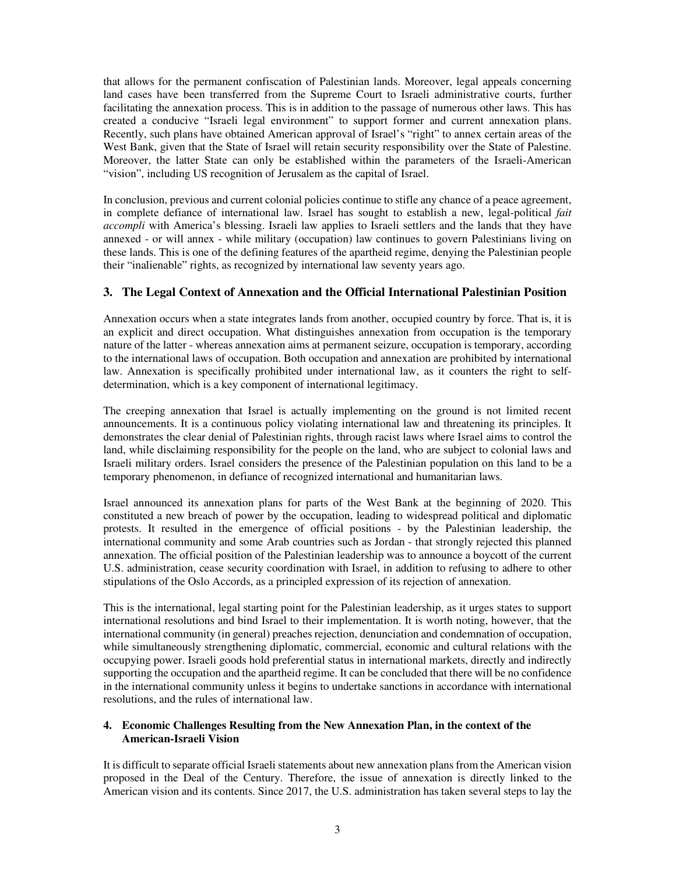that allows for the permanent confiscation of Palestinian lands. Moreover, legal appeals concerning land cases have been transferred from the Supreme Court to Israeli administrative courts, further facilitating the annexation process. This is in addition to the passage of numerous other laws. This has created a conducive "Israeli legal environment" to support former and current annexation plans. Recently, such plans have obtained American approval of Israel's "right" to annex certain areas of the West Bank, given that the State of Israel will retain security responsibility over the State of Palestine. Moreover, the latter State can only be established within the parameters of the Israeli-American "vision", including US recognition of Jerusalem as the capital of Israel.

In conclusion, previous and current colonial policies continue to stifle any chance of a peace agreement, in complete defiance of international law. Israel has sought to establish a new, legal-political *fait accompli* with America's blessing. Israeli law applies to Israeli settlers and the lands that they have annexed - or will annex - while military (occupation) law continues to govern Palestinians living on these lands. This is one of the defining features of the apartheid regime, denying the Palestinian people their "inalienable" rights, as recognized by international law seventy years ago.

## **3. The Legal Context of Annexation and the Official International Palestinian Position**

Annexation occurs when a state integrates lands from another, occupied country by force. That is, it is an explicit and direct occupation. What distinguishes annexation from occupation is the temporary nature of the latter - whereas annexation aims at permanent seizure, occupation is temporary, according to the international laws of occupation. Both occupation and annexation are prohibited by international law. Annexation is specifically prohibited under international law, as it counters the right to selfdetermination, which is a key component of international legitimacy.

The creeping annexation that Israel is actually implementing on the ground is not limited recent announcements. It is a continuous policy violating international law and threatening its principles. It demonstrates the clear denial of Palestinian rights, through racist laws where Israel aims to control the land, while disclaiming responsibility for the people on the land, who are subject to colonial laws and Israeli military orders. Israel considers the presence of the Palestinian population on this land to be a temporary phenomenon, in defiance of recognized international and humanitarian laws.

Israel announced its annexation plans for parts of the West Bank at the beginning of 2020. This constituted a new breach of power by the occupation, leading to widespread political and diplomatic protests. It resulted in the emergence of official positions - by the Palestinian leadership, the international community and some Arab countries such as Jordan - that strongly rejected this planned annexation. The official position of the Palestinian leadership was to announce a boycott of the current U.S. administration, cease security coordination with Israel, in addition to refusing to adhere to other stipulations of the Oslo Accords, as a principled expression of its rejection of annexation.

This is the international, legal starting point for the Palestinian leadership, as it urges states to support international resolutions and bind Israel to their implementation. It is worth noting, however, that the international community (in general) preaches rejection, denunciation and condemnation of occupation, while simultaneously strengthening diplomatic, commercial, economic and cultural relations with the occupying power. Israeli goods hold preferential status in international markets, directly and indirectly supporting the occupation and the apartheid regime. It can be concluded that there will be no confidence in the international community unless it begins to undertake sanctions in accordance with international resolutions, and the rules of international law.

# **4. Economic Challenges Resulting from the New Annexation Plan, in the context of the American-Israeli Vision**

It is difficult to separate official Israeli statements about new annexation plans from the American vision proposed in the Deal of the Century. Therefore, the issue of annexation is directly linked to the American vision and its contents. Since 2017, the U.S. administration has taken several steps to lay the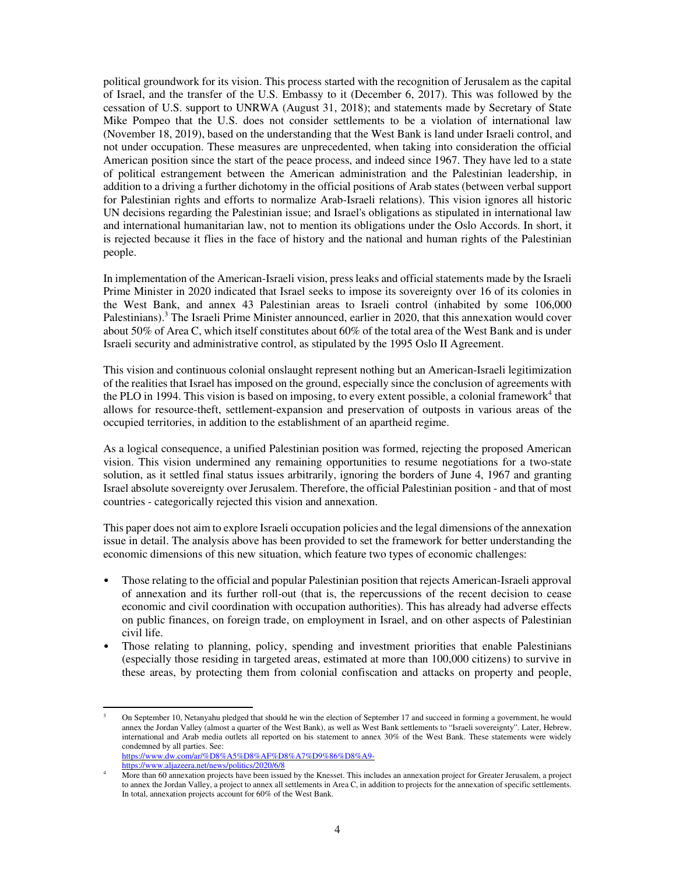political groundwork for its vision. This process started with the recognition of Jerusalem as the capital of Israel, and the transfer of the U.S. Embassy to it (December 6, 2017). This was followed by the cessation of U.S. support to UNRWA (August 31, 2018); and statements made by Secretary of State Mike Pompeo that the U.S. does not consider settlements to be a violation of international law (November 18, 2019), based on the understanding that the West Bank is land under Israeli control, and not under occupation. These measures are unprecedented, when taking into consideration the official American position since the start of the peace process, and indeed since 1967. They have led to a state of political estrangement between the American administration and the Palestinian leadership, in addition to a driving a further dichotomy in the official positions of Arab states (between verbal support for Palestinian rights and efforts to normalize Arab-Israeli relations). This vision ignores all historic UN decisions regarding the Palestinian issue; and Israel's obligations as stipulated in international law and international humanitarian law, not to mention its obligations under the Oslo Accords. In short, it is rejected because it flies in the face of history and the national and human rights of the Palestinian people.

In implementation of the American-Israeli vision, press leaks and official statements made by the Israeli Prime Minister in 2020 indicated that Israel seeks to impose its sovereignty over 16 of its colonies in the West Bank, and annex 43 Palestinian areas to Israeli control (inhabited by some 106,000 Palestinians).<sup>3</sup> The Israeli Prime Minister announced, earlier in 2020, that this annexation would cover about 50% of Area C, which itself constitutes about 60% of the total area of the West Bank and is under Israeli security and administrative control, as stipulated by the 1995 Oslo II Agreement.

This vision and continuous colonial onslaught represent nothing but an American-Israeli legitimization of the realities that Israel has imposed on the ground, especially since the conclusion of agreements with the PLO in 1994. This vision is based on imposing, to every extent possible, a colonial framework<sup>4</sup> that allows for resource-theft, settlement-expansion and preservation of outposts in various areas of the occupied territories, in addition to the establishment of an apartheid regime.

As a logical consequence, a unified Palestinian position was formed, rejecting the proposed American vision. This vision undermined any remaining opportunities to resume negotiations for a two-state solution, as it settled final status issues arbitrarily, ignoring the borders of June 4, 1967 and granting Israel absolute sovereignty over Jerusalem. Therefore, the official Palestinian position - and that of most countries - categorically rejected this vision and annexation.

This paper does not aim to explore Israeli occupation policies and the legal dimensions of the annexation issue in detail. The analysis above has been provided to set the framework for better understanding the economic dimensions of this new situation, which feature two types of economic challenges:

- Those relating to the official and popular Palestinian position that rejects American-Israeli approval of annexation and its further roll-out (that is, the repercussions of the recent decision to cease economic and civil coordination with occupation authorities). This has already had adverse effects on public finances, on foreign trade, on employment in Israel, and on other aspects of Palestinian civil life.
- Those relating to planning, policy, spending and investment priorities that enable Palestinians (especially those residing in targeted areas, estimated at more than 100,000 citizens) to survive in these areas, by protecting them from colonial confiscation and attacks on property and people,

<sup>3</sup> On September 10, Netanyahu pledged that should he win the election of September 17 and succeed in forming a government, he would annex the Jordan Valley (almost a quarter of the West Bank), as well as West Bank settlements to "Israeli sovereignty". Later, Hebrew, international and Arab media outlets all reported on his statement to annex 30% of the West Bank. These statements were widely condemned by all parties. See: https://www.dw.com/ar/%D8%A5%D8%AF%D8%A7%D9%86%D8%A9-

https://www.aljazeera.net/news/politics/2020/6/8 4 More than 60 annexation projects have been issued by the Knesset. This includes an annexation project for Greater Jerusalem, a project

to annex the Jordan Valley, a project to annex all settlements in Area C, in addition to projects for the annexation of specific settlements. In total, annexation projects account for 60% of the West Bank.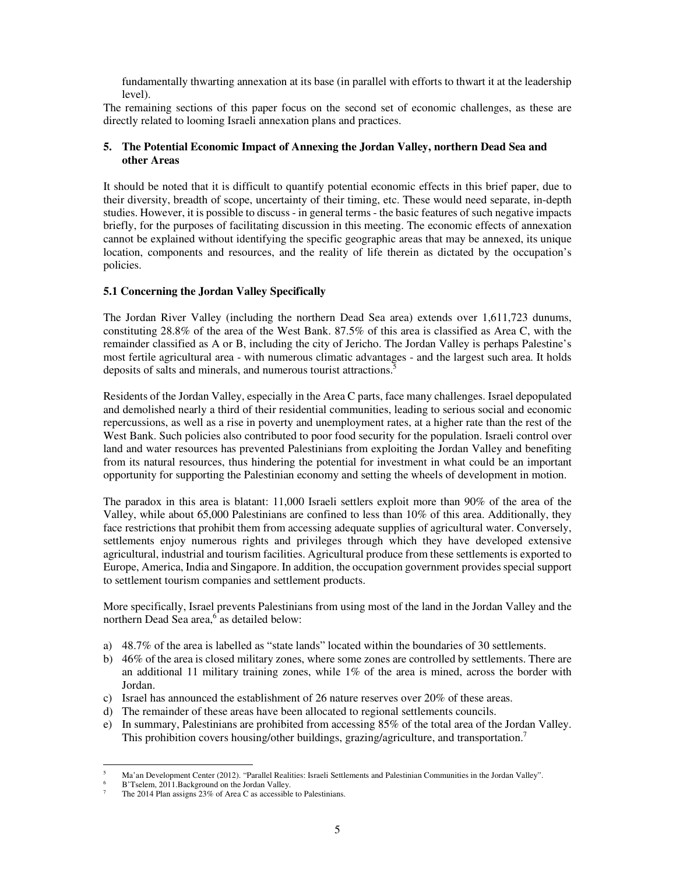fundamentally thwarting annexation at its base (in parallel with efforts to thwart it at the leadership level).

The remaining sections of this paper focus on the second set of economic challenges, as these are directly related to looming Israeli annexation plans and practices.

## **5. The Potential Economic Impact of Annexing the Jordan Valley, northern Dead Sea and other Areas**

It should be noted that it is difficult to quantify potential economic effects in this brief paper, due to their diversity, breadth of scope, uncertainty of their timing, etc. These would need separate, in-depth studies. However, it is possible to discuss - in general terms - the basic features of such negative impacts briefly, for the purposes of facilitating discussion in this meeting. The economic effects of annexation cannot be explained without identifying the specific geographic areas that may be annexed, its unique location, components and resources, and the reality of life therein as dictated by the occupation's policies.

# **5.1 Concerning the Jordan Valley Specifically**

The Jordan River Valley (including the northern Dead Sea area) extends over 1,611,723 dunums, constituting 28.8% of the area of the West Bank. 87.5% of this area is classified as Area C, with the remainder classified as A or B, including the city of Jericho. The Jordan Valley is perhaps Palestine's most fertile agricultural area - with numerous climatic advantages - and the largest such area. It holds deposits of salts and minerals, and numerous tourist attractions.<sup>5</sup>

Residents of the Jordan Valley, especially in the Area C parts, face many challenges. Israel depopulated and demolished nearly a third of their residential communities, leading to serious social and economic repercussions, as well as a rise in poverty and unemployment rates, at a higher rate than the rest of the West Bank. Such policies also contributed to poor food security for the population. Israeli control over land and water resources has prevented Palestinians from exploiting the Jordan Valley and benefiting from its natural resources, thus hindering the potential for investment in what could be an important opportunity for supporting the Palestinian economy and setting the wheels of development in motion.

The paradox in this area is blatant: 11,000 Israeli settlers exploit more than 90% of the area of the Valley, while about 65,000 Palestinians are confined to less than 10% of this area. Additionally, they face restrictions that prohibit them from accessing adequate supplies of agricultural water. Conversely, settlements enjoy numerous rights and privileges through which they have developed extensive agricultural, industrial and tourism facilities. Agricultural produce from these settlements is exported to Europe, America, India and Singapore. In addition, the occupation government provides special support to settlement tourism companies and settlement products.

More specifically, Israel prevents Palestinians from using most of the land in the Jordan Valley and the northern Dead Sea area,<sup>6</sup> as detailed below:

- a) 48.7% of the area is labelled as "state lands" located within the boundaries of 30 settlements.
- b) 46% of the area is closed military zones, where some zones are controlled by settlements. There are an additional 11 military training zones, while 1% of the area is mined, across the border with Jordan.
- c) Israel has announced the establishment of 26 nature reserves over 20% of these areas.
- d) The remainder of these areas have been allocated to regional settlements councils.
- e) In summary, Palestinians are prohibited from accessing 85% of the total area of the Jordan Valley. This prohibition covers housing/other buildings, grazing/agriculture, and transportation.<sup>7</sup>

<sup>5</sup> Ma'an Development Center (2012). "Parallel Realities: Israeli Settlements and Palestinian Communities in the Jordan Valley".

<sup>6</sup> B'Tselem, 2011.Background on the Jordan Valley.

<sup>7</sup> The 2014 Plan assigns 23% of Area C as accessible to Palestinians.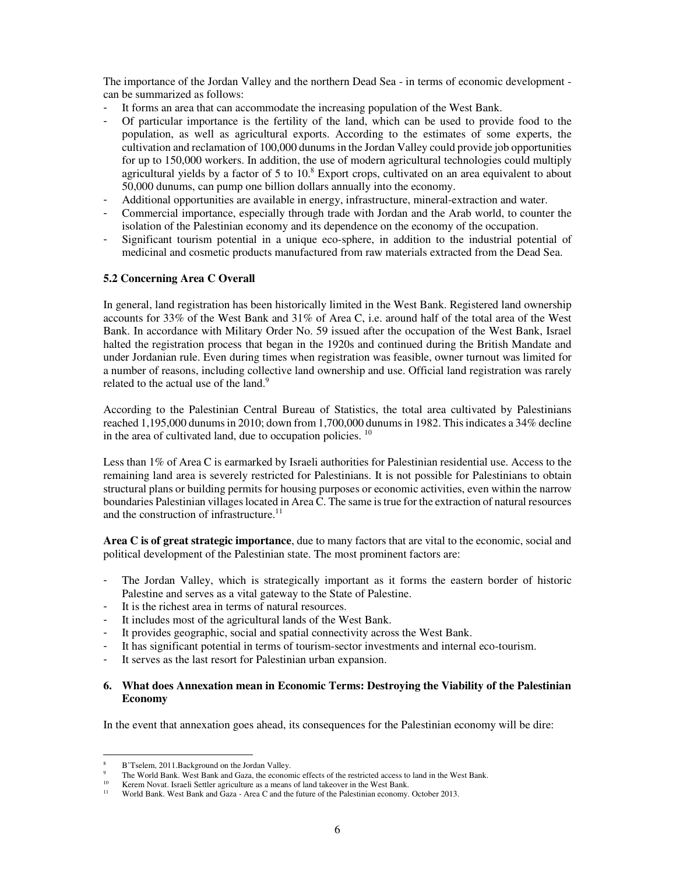The importance of the Jordan Valley and the northern Dead Sea - in terms of economic development can be summarized as follows:

- It forms an area that can accommodate the increasing population of the West Bank.<br>- Of particular importance is the fertility of the land, which can be used to provide
- Of particular importance is the fertility of the land, which can be used to provide food to the population, as well as agricultural exports. According to the estimates of some experts, the cultivation and reclamation of 100,000 dunums in the Jordan Valley could provide job opportunities for up to 150,000 workers. In addition, the use of modern agricultural technologies could multiply agricultural yields by a factor of 5 to  $10<sup>8</sup>$  Export crops, cultivated on an area equivalent to about 50,000 dunums, can pump one billion dollars annually into the economy.
- Additional opportunities are available in energy, infrastructure, mineral-extraction and water.
- Commercial importance, especially through trade with Jordan and the Arab world, to counter the isolation of the Palestinian economy and its dependence on the economy of the occupation.
- Significant tourism potential in a unique eco-sphere, in addition to the industrial potential of medicinal and cosmetic products manufactured from raw materials extracted from the Dead Sea.

#### **5.2 Concerning Area C Overall**

In general, land registration has been historically limited in the West Bank. Registered land ownership accounts for 33% of the West Bank and 31% of Area C, i.e. around half of the total area of the West Bank. In accordance with Military Order No. 59 issued after the occupation of the West Bank, Israel halted the registration process that began in the 1920s and continued during the British Mandate and under Jordanian rule. Even during times when registration was feasible, owner turnout was limited for a number of reasons, including collective land ownership and use. Official land registration was rarely related to the actual use of the land.<sup>9</sup>

According to the Palestinian Central Bureau of Statistics, the total area cultivated by Palestinians reached 1,195,000 dunums in 2010; down from 1,700,000 dunums in 1982. This indicates a 34% decline in the area of cultivated land, due to occupation policies. <sup>10</sup>

Less than 1% of Area C is earmarked by Israeli authorities for Palestinian residential use. Access to the remaining land area is severely restricted for Palestinians. It is not possible for Palestinians to obtain structural plans or building permits for housing purposes or economic activities, even within the narrow boundaries Palestinian villages located in Area C. The same is true for the extraction of natural resources and the construction of infrastructure.<sup>11</sup>

**Area C is of great strategic importance**, due to many factors that are vital to the economic, social and political development of the Palestinian state. The most prominent factors are:

- The Jordan Valley, which is strategically important as it forms the eastern border of historic Palestine and serves as a vital gateway to the State of Palestine.
- It is the richest area in terms of natural resources.
- It includes most of the agricultural lands of the West Bank.
- It provides geographic, social and spatial connectivity across the West Bank.
- It has significant potential in terms of tourism-sector investments and internal eco-tourism.
- It serves as the last resort for Palestinian urban expansion.

#### **6. What does Annexation mean in Economic Terms: Destroying the Viability of the Palestinian Economy**

In the event that annexation goes ahead, its consequences for the Palestinian economy will be dire:

<sup>8</sup> B'Tselem, 2011.Background on the Jordan Valley.

<sup>9</sup> <sup>9</sup> The World Bank. West Bank and Gaza, the economic effects of the restricted access to land in the West Bank.

<sup>&</sup>lt;sup>10</sup> Kerem Novat. Israeli Settler agriculture as a means of land takeover in the West Bank.<br><sup>11</sup> World Bank. West Bank and Gaze, Area G and the future of the Palestinian economy.

<sup>11</sup> World Bank. West Bank and Gaza - Area C and the future of the Palestinian economy. October 2013.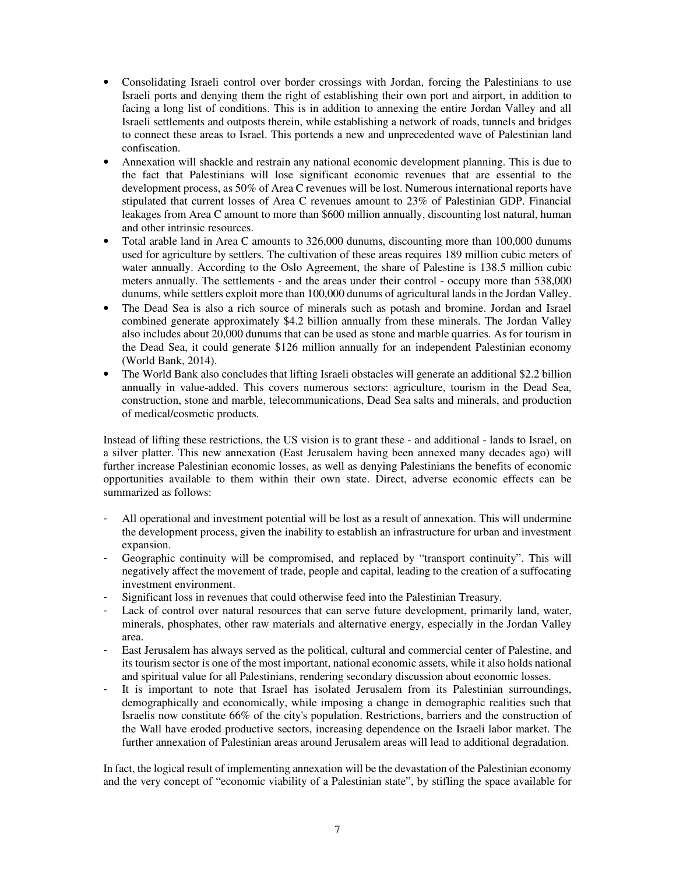- Consolidating Israeli control over border crossings with Jordan, forcing the Palestinians to use Israeli ports and denying them the right of establishing their own port and airport, in addition to facing a long list of conditions. This is in addition to annexing the entire Jordan Valley and all Israeli settlements and outposts therein, while establishing a network of roads, tunnels and bridges to connect these areas to Israel. This portends a new and unprecedented wave of Palestinian land confiscation.
- Annexation will shackle and restrain any national economic development planning. This is due to the fact that Palestinians will lose significant economic revenues that are essential to the development process, as 50% of Area C revenues will be lost. Numerous international reports have stipulated that current losses of Area C revenues amount to 23% of Palestinian GDP. Financial leakages from Area C amount to more than \$600 million annually, discounting lost natural, human and other intrinsic resources.
- Total arable land in Area C amounts to 326,000 dunums, discounting more than 100,000 dunums used for agriculture by settlers. The cultivation of these areas requires 189 million cubic meters of water annually. According to the Oslo Agreement, the share of Palestine is 138.5 million cubic meters annually. The settlements - and the areas under their control - occupy more than 538,000 dunums, while settlers exploit more than 100,000 dunums of agricultural lands in the Jordan Valley.
- The Dead Sea is also a rich source of minerals such as potash and bromine. Jordan and Israel combined generate approximately \$4.2 billion annually from these minerals. The Jordan Valley also includes about 20,000 dunums that can be used as stone and marble quarries. As for tourism in the Dead Sea, it could generate \$126 million annually for an independent Palestinian economy (World Bank, 2014).
- The World Bank also concludes that lifting Israeli obstacles will generate an additional \$2.2 billion annually in value-added. This covers numerous sectors: agriculture, tourism in the Dead Sea, construction, stone and marble, telecommunications, Dead Sea salts and minerals, and production of medical/cosmetic products.

Instead of lifting these restrictions, the US vision is to grant these - and additional - lands to Israel, on a silver platter. This new annexation (East Jerusalem having been annexed many decades ago) will further increase Palestinian economic losses, as well as denying Palestinians the benefits of economic opportunities available to them within their own state. Direct, adverse economic effects can be summarized as follows:

- All operational and investment potential will be lost as a result of annexation. This will undermine the development process, given the inability to establish an infrastructure for urban and investment expansion.
- Geographic continuity will be compromised, and replaced by "transport continuity". This will negatively affect the movement of trade, people and capital, leading to the creation of a suffocating investment environment.
- Significant loss in revenues that could otherwise feed into the Palestinian Treasury.
- Lack of control over natural resources that can serve future development, primarily land, water, minerals, phosphates, other raw materials and alternative energy, especially in the Jordan Valley area.
- East Jerusalem has always served as the political, cultural and commercial center of Palestine, and its tourism sector is one of the most important, national economic assets, while it also holds national and spiritual value for all Palestinians, rendering secondary discussion about economic losses.
- It is important to note that Israel has isolated Jerusalem from its Palestinian surroundings, demographically and economically, while imposing a change in demographic realities such that Israelis now constitute 66% of the city's population. Restrictions, barriers and the construction of the Wall have eroded productive sectors, increasing dependence on the Israeli labor market. The further annexation of Palestinian areas around Jerusalem areas will lead to additional degradation.

In fact, the logical result of implementing annexation will be the devastation of the Palestinian economy and the very concept of "economic viability of a Palestinian state", by stifling the space available for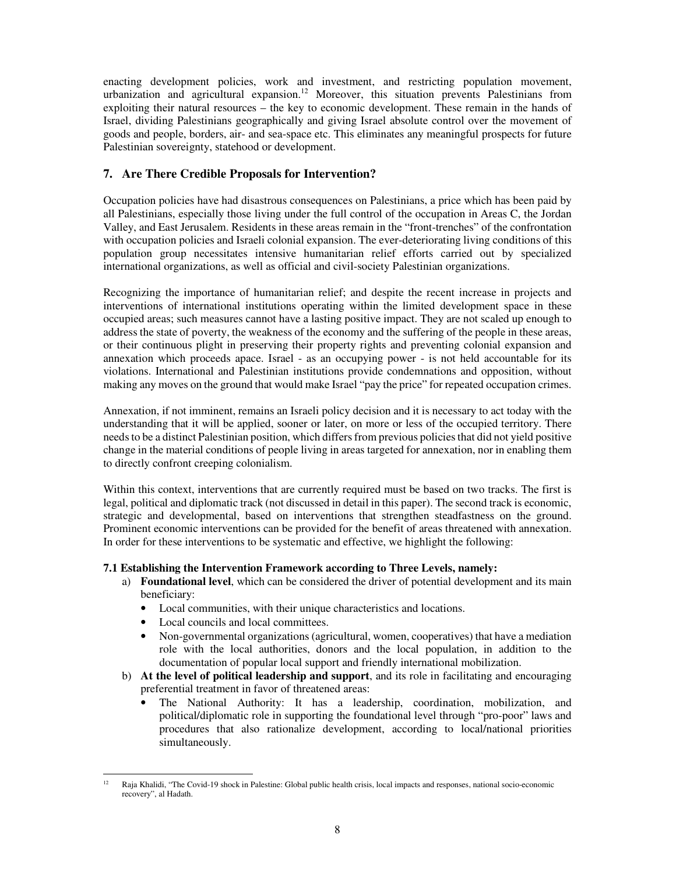enacting development policies, work and investment, and restricting population movement, urbanization and agricultural expansion.<sup>12</sup> Moreover, this situation prevents Palestinians from exploiting their natural resources – the key to economic development. These remain in the hands of Israel, dividing Palestinians geographically and giving Israel absolute control over the movement of goods and people, borders, air- and sea-space etc. This eliminates any meaningful prospects for future Palestinian sovereignty, statehood or development.

# **7. Are There Credible Proposals for Intervention?**

Occupation policies have had disastrous consequences on Palestinians, a price which has been paid by all Palestinians, especially those living under the full control of the occupation in Areas C, the Jordan Valley, and East Jerusalem. Residents in these areas remain in the "front-trenches" of the confrontation with occupation policies and Israeli colonial expansion. The ever-deteriorating living conditions of this population group necessitates intensive humanitarian relief efforts carried out by specialized international organizations, as well as official and civil-society Palestinian organizations.

Recognizing the importance of humanitarian relief; and despite the recent increase in projects and interventions of international institutions operating within the limited development space in these occupied areas; such measures cannot have a lasting positive impact. They are not scaled up enough to address the state of poverty, the weakness of the economy and the suffering of the people in these areas, or their continuous plight in preserving their property rights and preventing colonial expansion and annexation which proceeds apace. Israel - as an occupying power - is not held accountable for its violations. International and Palestinian institutions provide condemnations and opposition, without making any moves on the ground that would make Israel "pay the price" for repeated occupation crimes.

Annexation, if not imminent, remains an Israeli policy decision and it is necessary to act today with the understanding that it will be applied, sooner or later, on more or less of the occupied territory. There needs to be a distinct Palestinian position, which differs from previous policies that did not yield positive change in the material conditions of people living in areas targeted for annexation, nor in enabling them to directly confront creeping colonialism.

Within this context, interventions that are currently required must be based on two tracks. The first is legal, political and diplomatic track (not discussed in detail in this paper). The second track is economic, strategic and developmental, based on interventions that strengthen steadfastness on the ground. Prominent economic interventions can be provided for the benefit of areas threatened with annexation. In order for these interventions to be systematic and effective, we highlight the following:

## **7.1 Establishing the Intervention Framework according to Three Levels, namely:**

- a) **Foundational level**, which can be considered the driver of potential development and its main beneficiary:
	- Local communities, with their unique characteristics and locations.
	- Local councils and local committees.
	- Non-governmental organizations (agricultural, women, cooperatives) that have a mediation role with the local authorities, donors and the local population, in addition to the documentation of popular local support and friendly international mobilization.
- b) **At the level of political leadership and support**, and its role in facilitating and encouraging preferential treatment in favor of threatened areas:
	- The National Authority: It has a leadership, coordination, mobilization, and political/diplomatic role in supporting the foundational level through "pro-poor" laws and procedures that also rationalize development, according to local/national priorities simultaneously.

 $12$  Raja Khalidi, "The Covid-19 shock in Palestine: Global public health crisis, local impacts and responses, national socio-economic recovery", al Hadath.